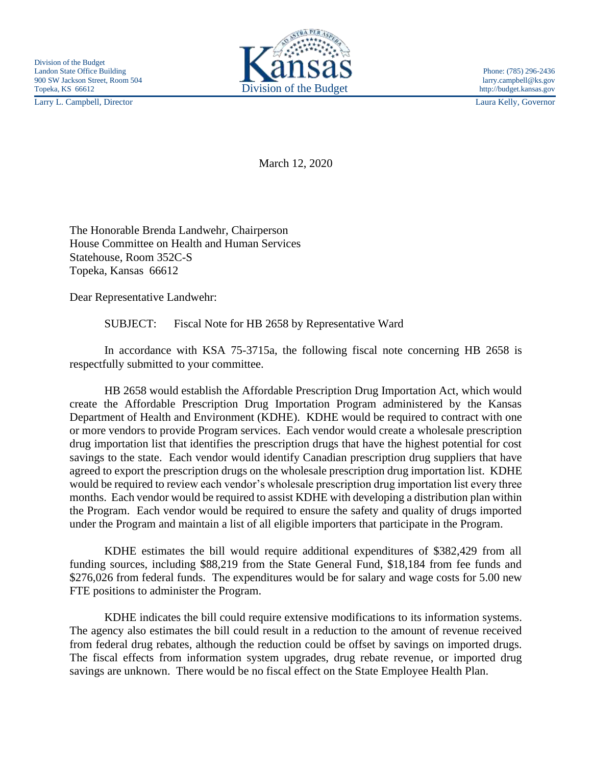Larry L. Campbell, Director Laura Kelly, Governor



March 12, 2020

The Honorable Brenda Landwehr, Chairperson House Committee on Health and Human Services Statehouse, Room 352C-S Topeka, Kansas 66612

Dear Representative Landwehr:

SUBJECT: Fiscal Note for HB 2658 by Representative Ward

In accordance with KSA 75-3715a, the following fiscal note concerning HB 2658 is respectfully submitted to your committee.

HB 2658 would establish the Affordable Prescription Drug Importation Act, which would create the Affordable Prescription Drug Importation Program administered by the Kansas Department of Health and Environment (KDHE). KDHE would be required to contract with one or more vendors to provide Program services. Each vendor would create a wholesale prescription drug importation list that identifies the prescription drugs that have the highest potential for cost savings to the state. Each vendor would identify Canadian prescription drug suppliers that have agreed to export the prescription drugs on the wholesale prescription drug importation list. KDHE would be required to review each vendor's wholesale prescription drug importation list every three months. Each vendor would be required to assist KDHE with developing a distribution plan within the Program. Each vendor would be required to ensure the safety and quality of drugs imported under the Program and maintain a list of all eligible importers that participate in the Program.

KDHE estimates the bill would require additional expenditures of \$382,429 from all funding sources, including \$88,219 from the State General Fund, \$18,184 from fee funds and \$276,026 from federal funds. The expenditures would be for salary and wage costs for 5.00 new FTE positions to administer the Program.

KDHE indicates the bill could require extensive modifications to its information systems. The agency also estimates the bill could result in a reduction to the amount of revenue received from federal drug rebates, although the reduction could be offset by savings on imported drugs. The fiscal effects from information system upgrades, drug rebate revenue, or imported drug savings are unknown. There would be no fiscal effect on the State Employee Health Plan.